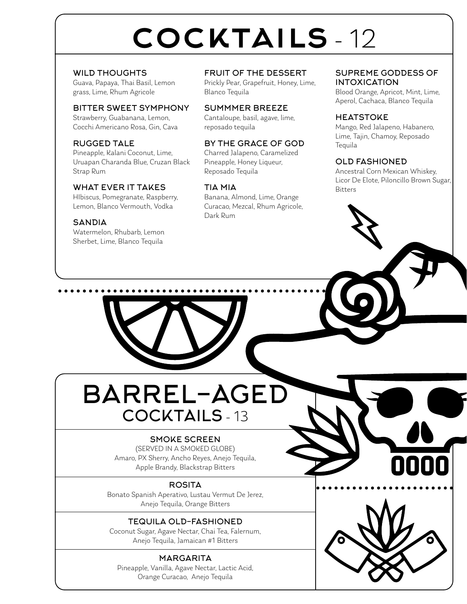# cocktails - 12

WILD THOUGHTS Guava, Papaya, Thai Basil, Lemon grass, Lime, Rhum Agricole

BITTER SWEET SYMPHONY Strawberry, Guabanana, Lemon, Cocchi Americano Rosa, Gin, Cava

RUGGED TALE Pineapple, Kalani Coconut, Lime, Uruapan Charanda Blue, Cruzan Black Strap Rum

#### WHAT EVER IT TAKES

HIbiscus, Pomegranate, Raspberry, Lemon, Blanco Vermouth, Vodka

**SANDIA** Watermelon, Rhubarb, Lemon Sherbet, Lime, Blanco Tequila

FRUIT OF THE DESSERT

Prickly Pear, Grapefruit, Honey, Lime, Blanco Tequila

#### SUMMMER BREEZE

Cantaloupe, basil, agave, lime, reposado tequila

#### BY THE GRACE OF GOD

Charred Jalapeno, Caramelized Pineapple, Honey Liqueur, Reposado Tequila

#### TIA MIA

Banana, Almond, Lime, Orange Curacao, Mezcal, Rhum Agricole, Dark Rum

SUPREME GODDESS OF INTOXICATION

Blood Orange, Apricot, Mint, Lime, Aperol, Cachaca, Blanco Tequila

#### **HEATSTOKE**

Mango, Red Jalapeno, Habanero, Lime, Tajin, Chamoy, Reposado **Tequila** 

#### OLD FASHIONED

Ancestral Corn Mexican Whiskey, Licor De Elote, Piloncillo Brown Sugar, Bitters

BARREL-AGED COCKTAILS - 13

#### SMOKE SCREEN

(SERVED IN A SMOKED GLOBE) Amaro, PX Sherry, Ancho Reyes, Anejo Tequila, Apple Brandy, Blackstrap Bitters

**ROSITA** 

Bonato Spanish Aperativo, Lustau Vermut De Jerez, Anejo Tequila, Orange Bitters

#### TEQUILA OLD-FASHIONED

Coconut Sugar, Agave Nectar, Chai Tea, Falernum, Anejo Tequila, Jamaican #1 Bitters

#### **MARGARITA**

Pineapple, Vanilla, Agave Nectar, Lactic Acid, Orange Curacao, Anejo Tequila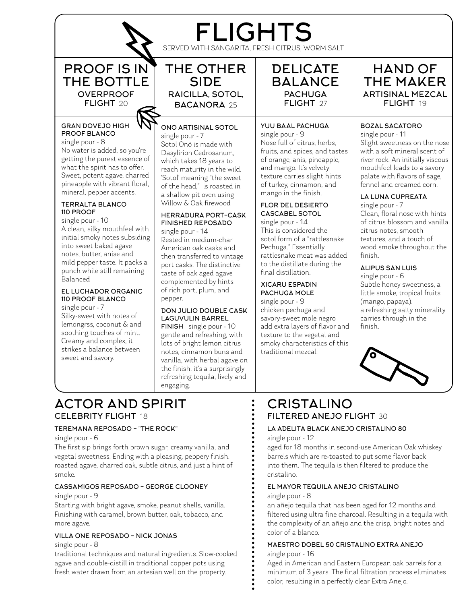## FLIGHTS

SERVED WITH SANGARITA, FRESH CITRUS, WORM SALT

PROOF IS IN THE BOTTLE OVERPROOF FLIGHT 20

#### GRAN DOVEJO HIGH PROOF BLANCO

single pour - 8 No water is added, so you're getting the purest essence of what the spirit has to offer. Sweet, potent agave, charred pineapple with vibrant floral, mineral, pepper accents.

#### TERRALTA BLANCO 110 PROOF

single pour - 10

A clean, silky mouthfeel with initial smoky notes subsiding into sweet baked agave notes, butter, anise and mild pepper taste. It packs a punch while still remaining .<br>Balanced

#### EL LUCHADOR ORGANIC 110 PROOF BLANCO

single pour - 7 Silky-sweet with notes of lemongrss, coconut & and soothing touches of mint. Creamy and complex, it strikes a balance between sweet and savory.



#### ONO ARTISINAL SOTOL

single pour - 7 Sotol Onó is made with Dasylirion Cedrosanum, which takes 18 years to reach maturity in the wild. 'Sotol' meaning "the sweet of the head," is roasted in a shallow pit oven using Willow & Oak firewood

#### HERRADURA PORT-CASK FINISHED REPOSADO

single pour - 14 Rested in medium-char American oak casks and then transferred to vintage port casks. The distinctive taste of oak aged agave complemented by hints of rich port, plum, and pepper.

#### DON JULIO DOUBLE CASK LAGUVULIN BARREL

FINISH single pour - 10 gentle and refreshing, with lots of bright lemon citrus notes, cinnamon buns and vanilla, with herbal agave on the finish. it's a surprisingly refreshing tequila, lively and engaging.

DELICATE BALANCE **PACHUGA** FLIGHT 27

#### YUU BAAL PACHUGA

single pour - 9 Nose full of citrus, herbs, fruits, and spices, and tastes of orange, anis, pineapple, and mango. It's velvety texture carries slight hints of turkey, cinnamon, and mango in the finish.

#### FLOR DEL DESIERTO CASCABEL SOTOL

single pour - 14 This is considered the sotol form of a "rattlesnake Pechuga." Essentially rattlesnake meat was added to the distillate during the final distillation.

#### XICARU ESPADIN PACHUGA MOLE

single pour - 9 chicken pechuga and savory-sweet mole negro add extra layers of flavor and texture to the vegetal and smoky characteristics of this traditional mezcal.

#### HAND OF THE MAKER ARTISINAL MEZCAL FLIGHT 19

#### BOZAL SACATORO

single pour - 11 Slight sweetness on the nose with a soft mineral scent of river rock. An initially viscous mouthfeel leads to a savory palate with flavors of sage, fennel and creamed corn.

#### LA LUNA CUPREATA

single pour - 7 Clean, floral nose with hints of citrus blossom and vanilla. citrus notes, smooth textures, and a touch of wood smoke throughout the finish.

#### ALIPUS SAN LUIS

single pour - 6 Subtle honey sweetness, a little smoke, tropical fruits (mango, papaya). a refreshing salty minerality carries through in the finish.



#### CRISTALINO FILTERED ANEJO FLIGHT 30

#### LA ADELITA BLACK ANEJO CRISTALINO 80

single pour - 12

aged for 18 months in second-use American Oak whiskey barrels which are re-toasted to put some flavor back into them. The tequila is then filtered to produce the cristalino.

#### EL MAYOR TEQUILA ANEJO CRISTALINO single pour - 8

an añejo tequila that has been aged for 12 months and filtered using ultra fine charcoal. Resulting in a tequila with the complexity of an añejo and the crisp, bright notes and color of a blanco.

#### MAESTRO DOBEL 50 CRISTALINO EXTRA ANEJO single pour - 16

Aged in American and Eastern European oak barrels for a minimum of 3 years. The final filtration process eliminates color, resulting in a perfectly clear Extra Anejo.

#### ACTOR AND SPIRIT CELEBRITY FLIGHT 18

#### TEREMANA REPOSADO - "THE ROCK"

single pour - 6

The first sip brings forth brown sugar, creamy vanilla, and vegetal sweetness. Ending with a pleasing, peppery finish. roasted agave, charred oak, subtle citrus, and just a hint of smoke.

#### CASSAMIGOS REPOSADO - GEORGE CLOONEY

#### single pour - 9

Starting with bright agave, smoke, peanut shells, vanilla. Finishing with caramel, brown butter, oak, tobacco, and more agave.

#### VILLA ONE REPOSADO - NICK JONAS

single pour - 8

traditional techniques and natural ingredients. Slow-cooked agave and double-distill in traditional copper pots using fresh water drawn from an artesian well on the property.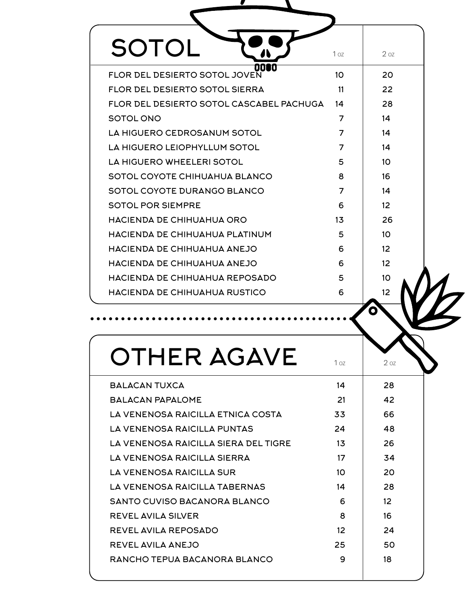| SOTOL                                      | 1 <sub>oz</sub> | 207             |
|--------------------------------------------|-----------------|-----------------|
| 001<br>TO<br>FLOR DEL DESIERTO SOTOL JOVEN | 10 <sup>1</sup> | 20              |
| <b>FLOR DEL DESIERTO SOTOL SIERRA</b>      | 11              | 22              |
| FLOR DEL DESIERTO SOTOL CASCABEL PACHUGA   | 14              | 28              |
| SOTOL ONO                                  | 7               | 14              |
| LA HIGUERO CEDROSANUM SOTOL                | 7               | 14              |
| LA HIGUERO LEIOPHYLLUM SOTOL               | 7               | 14              |
| LA HIGUERO WHEELERI SOTOL                  | 5               | 10              |
| SOTOL COYOTE CHIHUAHUA BLANCO              | 8               | 16              |
| SOTOL COYOTE DURANGO BLANCO                | $\overline{7}$  | 14              |
| <b>SOTOL POR SIEMPRE</b>                   | 6               | 12              |
| HACIENDA DE CHIHUAHUA ORO                  | 13              | 26              |
| HACIENDA DE CHIHUAHUA PLATINUM             | 5               | 10 <sup>2</sup> |
| HACIENDA DE CHIHUAHUA ANEJO                | 6               | 12 <sup>2</sup> |
| HACIENDA DE CHIHUAHUA ANEJO                | 6               | 12              |
| HACIENDA DE CHIHUAHUA REPOSADO             | 5               | 10              |
| <b>HACIENDA DE CHIHUAHUA RUSTICO</b>       | 6               | 12              |
|                                            |                 |                 |
|                                            |                 |                 |

| BALACAN TUXCA                        | 14 | 28              |  |
|--------------------------------------|----|-----------------|--|
| ΒΔΙ ΔΩΔΝ ΡΔΡΔΙ ΟΜΕ                   | 21 | 42              |  |
| LA VENENOSA RAICILLA ETNICA COSTA    | 33 | 66              |  |
| LA VENENOSA RAICILLA PUNTAS          | 24 | 48              |  |
| LA VENENOSA RAICILLA SIERA DEL TIGRE | 13 | 26              |  |
| LA VENENOSA RAICILLA SIERRA          | 17 | 34              |  |
| LA VENENOSA RAICILLA SUR             | 10 | 20              |  |
| LA VENENOSA RAICILLA TABERNAS        | 14 | 28              |  |
| SANTO CUVISO BACANORA BLANCO         | 6  | 12 <sup>2</sup> |  |
| <b>REVEL AVILA SILVER</b>            | 8  | 16              |  |
| <b>REVEL AVILA REPOSADO</b>          | 12 | 24              |  |
| REVEL AVILA ANEJO                    | 25 | 50              |  |
| RANCHO TEPUA BACANORA BLANCO         | 9  | 18              |  |
|                                      |    |                 |  |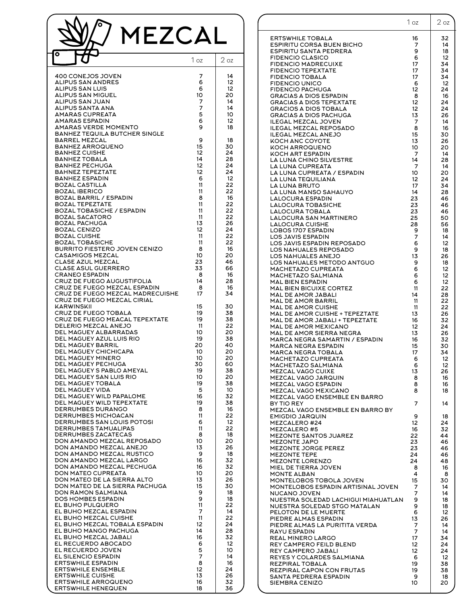| MEZCAL<br>ο                                                                                                                                                                                                                                                                                                                                                                                                                                                                                                                                                                                                                                                                                                                                                                                                                                                                                                                                                                                                                                                                                                                                                                                                                                                        |                                                                                                                                                                                                                                                                |                                                                                                                                                                                                                                                                            |
|--------------------------------------------------------------------------------------------------------------------------------------------------------------------------------------------------------------------------------------------------------------------------------------------------------------------------------------------------------------------------------------------------------------------------------------------------------------------------------------------------------------------------------------------------------------------------------------------------------------------------------------------------------------------------------------------------------------------------------------------------------------------------------------------------------------------------------------------------------------------------------------------------------------------------------------------------------------------------------------------------------------------------------------------------------------------------------------------------------------------------------------------------------------------------------------------------------------------------------------------------------------------|----------------------------------------------------------------------------------------------------------------------------------------------------------------------------------------------------------------------------------------------------------------|----------------------------------------------------------------------------------------------------------------------------------------------------------------------------------------------------------------------------------------------------------------------------|
|                                                                                                                                                                                                                                                                                                                                                                                                                                                                                                                                                                                                                                                                                                                                                                                                                                                                                                                                                                                                                                                                                                                                                                                                                                                                    | 1 <sub>oz</sub>                                                                                                                                                                                                                                                | 2 <sub>oz</sub>                                                                                                                                                                                                                                                            |
| 400 CONEJOS JOVEN<br><b>ALIPUS SAN ANDRES</b><br><b>ALIPUS SAN LUIS</b><br><b>ALIPUS SAN MIGUEL</b><br><b>ALIPUS SAN JUAN</b><br><b>ALIPUS SANTA ANA</b><br><b>AMARAS CUPREATA</b><br><b>AMARAS ESPADIN</b><br>AMARAS VERDE MOMENTO<br><b>BANHEZ TEQUILA BUTCHER SINGLE</b>                                                                                                                                                                                                                                                                                                                                                                                                                                                                                                                                                                                                                                                                                                                                                                                                                                                                                                                                                                                        | 7<br>6<br>6<br>10<br>7<br>7<br>5<br>6<br>9                                                                                                                                                                                                                     | 14<br>12<br>12<br>20<br>14<br>14<br>10<br>12<br>18                                                                                                                                                                                                                         |
| <b>BARREL MEZCAL</b><br><b>BANHEZ ARROQUENO</b><br><b>BANHEZ CUISHE</b><br><b>BANHEZ TOBALA</b><br><b>BANHEZ PECHUGA</b><br><b>BAHNEZ TEPEZTATE</b><br><b>BANHEZ ESPADIN</b><br><b>BOZAL CASTILLA</b><br><b>BOZAL IBERICO</b><br><b>BOZAL BARRIL / ESPADIN</b><br><b>BOZAL TEPEZTATE</b><br><b>BOZAL TOBASICHE / ESPADIN</b><br><b>BOZAL SACATORO</b><br><b>BOZAL PACHUGA</b><br><b>BOZAL CENIZO</b><br><b>BOZAL CUISHE</b><br><b>BOZAL TOBASICHE</b><br><b>BURRITO FIESTERO JOVEN CENIZO</b><br><b>CASAMIGOS MEZCAL</b><br>CLASE AZUL MEZCAL<br><b>CLASE ASUL GUERRERO</b><br><b>CRANEO ESPADIN</b><br>CRUZ DE FUEGO AUGUSTIFOLIA<br>CRUZ DE FUEGO MEZCAL ESPADIN                                                                                                                                                                                                                                                                                                                                                                                                                                                                                                                                                                                                 | 9<br>15<br>12<br>14<br>12<br>12<br>6<br>11<br>11<br>8<br>11<br>11<br>11<br>13<br>12<br>11<br>11<br>8<br>10<br>23<br>33<br>8<br>14<br>-8                                                                                                                        | 18<br>30<br>24<br>28<br>24<br>24<br>12<br>22<br>22<br>16<br>22<br>22<br>22<br>26<br>24<br>22<br>22<br>16<br>20<br>46<br>66<br>16<br>28<br>16                                                                                                                               |
| CRUZ DE FUEGO MEZCAL MADRECUISHE<br>CRUZ DE FUEGO MEZCAL CIRIAL<br><b>KARWINSKII</b><br><b>CRUZ DE FUEGO TOBALA</b><br>CRUZ DE FUEGO MEACAL TEPEXTATE<br>DELERIO MEZCAL ANEJO<br>DEL MAGUEY ALBARRADAS<br>DEL MAGUEY AZUL LUIS RIO<br>DEL MAGUEY BARRIL<br><b>DEL MAGUEY CHICHICAPA</b><br>DEL MAGUEY MINERO<br>DEL MAGUEY PECHUGA<br>DEL MAGUEY S PABLO AMEYAL<br>DEL MAGUEY SAN LUIS RIO<br>DEL MAGUEY TOBALA<br>DEL MAGUEY VIDA<br>DEL MAGUEY WILD PAPALOME<br>DEL MAGUEY WILD TEPEXTATE<br>DERRUMBES DURANGO<br><b>DERRUMBES MICHOACAN</b><br>DERRUMBES SAN LOUIS POTOSI<br>DERRUMBES TAMUALIPAS<br><b>DERRUMBES ZACATECAS</b><br>DON AMANDO MEZCAL REPOSADO<br>DON AMANDO MEZCAL ANEJO<br>DON AMANDO MEZCAL RUSTICO<br>DON AMANDO MEZCAL LARGO<br>DON AMANDO MEZCAL PECHUGA<br>DON MATEO CUPREATA<br>DON MATEO DE LA SIERRA ALTO<br>DON MATEO DE LA SIERRA PACHUGA<br>DON RAMON SALMIANA<br>DOS HOMBES ESPADIN<br>EL BUHO PULQUERO<br>EL BUHO MEZCAL ESPADIN<br>EL BUHO MEZCAL CUISHE<br>EL BUHO MEZCAL TOBALA ESPADIN<br>EL BUHO MANGO PACHUGA<br>EL BUHO MEZCAL JABALI<br>EL RECUERDO ABOCADO<br>EL RECUERDO JOVEN<br>EL SILENCIO ESPADIN<br><b>ERTSWHILE ESPADIN</b><br><b>ERTSWHILE ENSEMBLE</b><br><b>ERTSWHILE CUISHE</b><br><b>ERTSWHILE ARROQUENO</b> | 17<br>15<br>19<br>19<br>11<br>10<br>19<br>20<br>10<br>10<br>30<br>19<br>10<br>19<br>5<br>16<br>19<br>8<br>11<br>6<br>11<br>8<br>10<br>13<br>9<br>16<br>16<br>10<br>13<br>15<br>9<br>9<br>11<br>7<br>11<br>12<br>14<br>16<br>6<br>5<br>7<br>8<br>12<br>13<br>16 | 34<br>30<br>38<br>38<br>22<br>20<br>38<br>40<br>20<br>20<br>60<br>38<br>20<br>38<br>10<br>32<br>38<br>16<br>22<br>12<br>22<br>18<br>20<br>26<br>18<br>32<br>32<br>20<br>26<br>30<br>18<br>18<br>22<br>14<br>22<br>24<br>28<br>32<br>12<br>10<br>14<br>16<br>24<br>26<br>32 |

|                                                                  | 1 oz     | $2$ oz            |
|------------------------------------------------------------------|----------|-------------------|
| <b>ERTSWHILE TOBALA</b>                                          | 16       | 32                |
| <b>ESPIRITU CORSA BUEN BICHO</b><br>ESPIRITU SANTA PEDRERA       | 7<br>9   | 14<br>18          |
| <b>FIDENCIO CLASICO</b>                                          | 6        | 12                |
| FIDENCIO MADRECUIXE                                              | 17       | 34                |
| <b>FIDENCIO TEPEXTATE</b><br><b>FIDENCIO TOBALA</b>              | 17<br>17 | 34<br>34          |
| <b>FIDENCIO UNICO</b>                                            | 6        | $12 \overline{ }$ |
| <b>FIDENCIO PACHUGA</b>                                          | 12       | 24                |
| <b>GRACIAS A DIOS ESPADIN</b><br><b>GRACIAS A DIOS TEPEXTATE</b> | 8<br>12  | 16<br>24          |
| <b>GRACIOS A DIOS TOBALA</b>                                     | 12       | 24                |
| <b>GRACIAS A DIOS PACHUGA</b>                                    | 13       | 26                |
| ILEGAL MEZCAL JOVEN<br>ILEGAL MEZCAL REPOSADO                    | 7<br>8   | 14<br>16          |
| ILEGAL MEZCAL ANEJO                                              | 15       | 30                |
| <b>KOCH ANC COYOTE</b><br><b>KOCH ARROQUENO</b>                  | 13<br>10 | 26<br>20          |
| <b>KOCH ART ESPADIN</b>                                          | 7        | 14                |
| LA LUNA CHINO SILVESTRE                                          | 14       | 28                |
| LA LUNA CUPREATA<br>LA LUNA CUPREATA / ESPADIN                   | 7<br>10  | 14<br>20          |
| LA LUNA TEQUILIANA                                               | 12       | 24                |
| LA LUNA BRUTO                                                    | 17       | 34                |
| LA LUNA MANSO SAHAUYO<br><b>LALOCURA ESPADIN</b>                 | 14<br>23 | 28<br>46          |
| <b>LALOCURA TOBASICHE</b>                                        | 23       | 46                |
| LALOCURA TOBALA                                                  | 23       | 46                |
| LALOCURA SAN MARTINERO<br><b>LALOCURA CUISHE</b>                 | 25<br>28 | 50<br>56          |
| LOBOS 1707 ESPADIN                                               | 9        | 18                |
| LOS JAVIS ESPADIN                                                | 7        | 14                |
| LOS JAVIS ESPADIN REPOSADO<br>LOS NAHUALES REPOSADO              | 6<br>9   | 12<br>18          |
| LOS NAHUALES ANEJO                                               | 13       | 26                |
| LOS NAHUALES METODO ANTGUO<br>MACHETAZO CUPREATA                 | 9<br>6   | 18<br>12          |
| MACHETAZO SALMIANA                                               | 6        | 12                |
| MAL BIEN ESPADIN                                                 | 6        | 12                |
| <b>MAL BIEN BICUIXE CORTEZ</b><br>MAL DE AMOR JABALI             | 11<br>14 | 22<br>28          |
| MAL DE AMOR BARRIL                                               | 11       | 22                |
| <b>MAL DE AMOR CUISHE</b>                                        | 11       | 22                |
| MAL DE AMOR CUISHE + TEPEZTATE<br>MAL DE AMOR JABALI + TEPEZTATE | 13<br>16 | 26<br>32          |
| MAL DE AMOR MEXICANO                                             | 12       | 24                |
| MAL DE AMOR SIERRA NEGRA                                         | 13       | 26                |
| MARCA NEGRA SAMARTIN / ESPADIN<br>MARCA NEGRA ESPADIN            | 16<br>15 | 32<br>30          |
| MARCA NEGRA TOBALA                                               | 17       | 34                |
| MACHETAZO CUPREATA<br>MACHETAZO SALMIANA                         | 6        | 12<br>12          |
| <b>MEZCAL VAGO CUIXE</b>                                         | 6<br>13  | 26                |
| MEZCAL VAGO JARQUIN                                              | 8        | 16                |
| MEZCAL VAGO ESPADIN<br><b>MEZCAL VAGO MEXICANO</b>               | 8<br>8   | 16<br>18          |
| MEZCAL VAGO ENSEMBLE EN BARRO                                    |          |                   |
| BY TIO REY                                                       | 7        | 14                |
| MEZCAL VAGO ENSEMBLE EN BARRO BY<br>EMIGDIO JARQUIN              | 9        | 18                |
| MEZCALERO #24                                                    | 12       | 24                |
| MEZCALERO #5<br><b>MEZONTE SANTOS JUAREZ</b>                     | 16<br>22 | 32<br>44          |
| MEZONTE JAPO                                                     | 23       | 46                |
| MEZONTE JORGE PEREZ                                              | 23       | 46                |
| <b>MEZONTE TEPE</b><br><b>MEZONTE LORENZO</b>                    | 24<br>24 | 46<br>48          |
| MIEL DE TIERRA JOVEN                                             | 8        | 16                |
| <b>MONTE ALBAN</b>                                               | 4        | 8                 |
| MONTELOBOS TOBOLA JOVEN<br>MONTELOBOS ESPADIN ARTISINAL JOVEN    | 15<br>7  | 30<br>14          |
| NUCANO JOVEN                                                     | 7        | 14                |
| NUESTRA SOLEDAD LACHIGUI MIAHUATLAN                              | 9        | 18                |
| NUESTRA SOLEDAD STGO MATALAN<br>PELOTON DE LE MUERTE             | 9<br>6   | 18<br>12          |
| PIEDRE ALMAS ESPADIN                                             | 13       | 26                |
| PIEDRE ALMAS LA PURITITA VERDA<br>RAYU ESPADIN                   | 7<br>7   | 14<br>14          |
| REAL MINERO LARGO                                                | 17       | 34                |
| REY CAMPERO FEILD BLEND                                          | 12       | 24                |
| REY CAMPERO JABALI<br>REYES Y COLARDES SALMIANA                  | 12<br>6  | 24<br>12          |
| REZPIRAL TOBALA                                                  | 19       | 38                |
| REZPIRAL CAPON CON FRUTAS                                        | 19       | 38                |
| SANTA PEDRERA ESPADIN<br>SIEMBRA CENIZO                          | 9<br>10  | 18<br>20          |
|                                                                  |          |                   |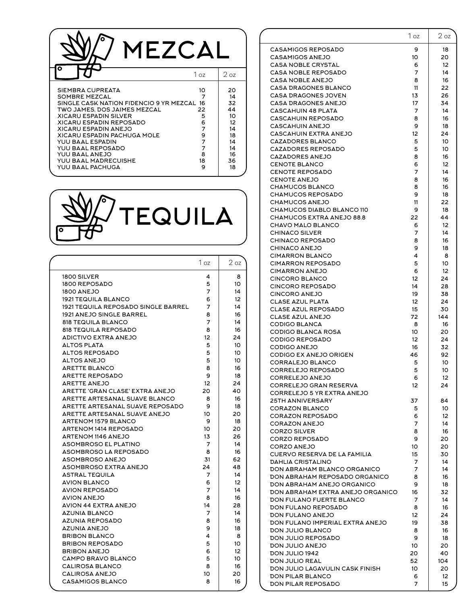| MEZCA                                                                                                                                                                                                                                                                                                                                    |                                                             |                                                                                         |
|------------------------------------------------------------------------------------------------------------------------------------------------------------------------------------------------------------------------------------------------------------------------------------------------------------------------------------------|-------------------------------------------------------------|-----------------------------------------------------------------------------------------|
|                                                                                                                                                                                                                                                                                                                                          | 1 <sub>oz</sub>                                             | 2 <sub>oz</sub>                                                                         |
| SIEMBRA CUPREATA<br>SOMBRE MEZCAL<br>SINGLE CASK NATION FIDENCIO 9 YR MEZCAL 16<br>TWO JAMES. DOS JAIMES MEZCAL<br><b>XICARU ESPADIN SILVER</b><br>XICARU ESPADIN REPOSADO<br>XICARU ESPADIN ANEJO<br>XICARU ESPADIN PACHUGA MOLE<br>YUU BAAL ESPADIN<br>YUU BAAL REPOSADO<br>YUU BAAL ANEJO<br>YUU BAAL MADRECUISHE<br>YUU BAAL PACHUGA | 10<br>7<br>22<br>5<br>6<br>7<br>9<br>7<br>7<br>8<br>18<br>9 | 20<br>14<br>32<br>44<br>10<br>12 <sup>2</sup><br>14<br>18<br>14<br>14<br>16<br>36<br>18 |



|                                            | 1 <sub>oz</sub> | $2$ oz |
|--------------------------------------------|-----------------|--------|
| 1800 SILVER                                | 4               | 8      |
| 1800 REPOSADO                              | 5               | 10     |
| <b>1800 ANEJO</b>                          | 7               | 14     |
| <b>1921 TEQUILA BLANCO</b>                 | 6               | 12     |
| <b>1921 TEQUILA REPOSADO SINGLE BARREL</b> | 7               | 14     |
| 1921 ANEJO SINGLE BARREL                   | 8               | 16     |
| <b>818 TEQUILA BLANCO</b>                  | 7               | 14     |
| <b>818 TEQUILA REPOSADO</b>                | 8               | 16     |
| <b>ADICTIVO EXTRA ANEJO</b>                | 12              | 24     |
| <b>ALTOS PLATA</b>                         | 5               | 10     |
| <b>ALTOS REPOSADO</b>                      | 5               | 10     |
| <b>ALTOS ANEJO</b>                         | 5               | 10     |
| <b>ARETTE BLANCO</b>                       | 8               | 16     |
| <b>ARETTE REPOSADO</b>                     | 9               | 18     |
| <b>ARETTE ANEJO</b>                        | 12              | 24     |
| ARETTE 'GRAN CLASE' EXTRA ANEJO            | 20              | 40     |
| ARETTE ARTESANAL SUAVE BLANCO              | 8               | 16     |
| ARETTE ARTESANAL SUAVE REPOSADO            | 9               | 18     |
| ARETTE ARTESANAL SUAVE ANEJO               | 10              | 20     |
| <b>ARTENOM 1579 BLANCO</b>                 | 9               | 18     |
| <b>ARTENOM 1414 REPOSADO</b>               | 10              | 20     |
| <b>ARTENOM 1146 ANEJO</b>                  | 13              | 26     |
| <b>ASOMBROSO EL PLATINO</b>                | 7               | 14     |
| ASOMBROSO LA REPOSADO                      | 8               | 16     |
| <b>ASOMBROSO ANEJO</b>                     | 31              | 62     |
| ASOMBROSO EXTRA ANEJO                      | 24              | 48     |
| <b>ASTRAL TEQUILA</b>                      | 7               | 14     |
| <b>AVION BLANCO</b>                        | 6               | 12     |
| <b>AVION REPOSADO</b>                      | 7               | 14     |
| <b>AVION ANEJO</b>                         | 8               | 16     |
| <b>AVION 44 EXTRA ANEJO</b>                | 14              | 28     |
| <b>AZUNIA BLANCO</b>                       | 7               | 14     |
| <b>AZUNIA REPOSADO</b>                     | 8               | 16     |
| <b>AZUNIA ANEJO</b>                        | 9               | 18     |
| <b>BRIBON BLANCO</b>                       | 4               | 8      |
| <b>BRIBON REPOSADO</b>                     | 5               | 10     |
| <b>BRIBON ANEJO</b>                        | 6               | 12     |
| CAMPO BRAVO BLANCO                         | 5               | 10     |
| <b>CALIROSA BLANCO</b>                     | 8               | 16     |
| <b>CALIROSA ANEJO</b>                      | 10              | 20     |
| <b>CASAMIGOS BLANCO</b>                    | 8               | 16     |

|                                                     | 1 oz     | $2$ oz   |
|-----------------------------------------------------|----------|----------|
| <b>CASAMIGOS REPOSADO</b>                           | 9        | 18       |
| <b>CASAMIGOS ANEJO</b>                              | 10       | 20       |
| <b>CASA NOBLE CRYSTAL</b>                           | 6        | 12       |
| <b>CASA NOBLE REPOSADO</b>                          | 7        | 14       |
| CASA NOBLE ANEJO                                    | 8        | 16       |
| CASA DRAGONES BLANCO                                | 11       | 22       |
| CASA DRAGONES JOVEN<br>CASA DRAGONES ANEJO          | 13<br>17 | 26<br>34 |
| <b>CASCAHUIN 48 PLATA</b>                           | 7        | 14       |
| <b>CASCAHUIN REPOSADO</b>                           | 8        | 16       |
| <b>CASCAHUIN ANEJO</b>                              | 9        | 18       |
| CASCAHUIN EXTRA ANEJO                               | 12       | 24       |
| <b>CAZADORES BLANCO</b>                             | 5        | 10       |
| <b>CAZADORES REPOSADO</b>                           | 5        | 10       |
| <b>CAZADORES ANEJO</b>                              | 8        | 16       |
| CENOTE BLANCO                                       | 6        | 12       |
| <b>CENOTE REPOSADO</b>                              | 7        | 14       |
| <b>CENOTE ANEJO</b>                                 | 8        | 16       |
| <b>CHAMUCOS BLANCO</b>                              | 8        | 16       |
| <b>CHAMUCOS REPOSADO</b>                            | 9        | 18       |
| <b>CHAMUCOS ANEJO</b><br>CHAMUCOS DIABLO BLANCO 110 | 11<br>9  | 22<br>18 |
| CHAMUCOS EXTRA ANEJO 88.8                           | 22       | 44       |
| <b>CHAVO MALO BLANCO</b>                            | 6        | 12       |
| <b>CHINACO SILVER</b>                               | 7        | 14       |
| <b>CHINACO REPOSADO</b>                             | 8        | 16       |
| <b>CHINACO ANEJO</b>                                | 9        | 18       |
| <b>CIMARRON BLANCO</b>                              | 4        | 8        |
| <b>CIMARRON REPOSADO</b>                            | 5        | 10       |
| <b>CIMARRON ANEJO</b>                               | 6        | 12       |
| <b>CINCORO BLANCO</b>                               | 12       | 24       |
| <b>CINCORO REPOSADO</b>                             | 14       | 28       |
| <b>CINCORO ANEJO</b><br>CLASE AZUL PLATA            | 19<br>12 | 38<br>24 |
| <b>CLASE AZUL REPOSADO</b>                          | 15       | 30       |
| CLASE AZUL ANEJO                                    | 72       | 144      |
| CODIGO BLANCA                                       | 8        | 16       |
| <b>CODIGO BLANCA ROSA</b>                           | 10       | 20       |
| <b>CODIGO REPOSADO</b>                              | 12       | 24       |
| <b>CODIGO ANEJO</b>                                 | 16       | 32       |
| CODIGO EX ANEJO ORIGEN                              | 46       | 92       |
| CORRALEJO BLANCO                                    | 5        | 10       |
| CORRELEJO REPOSADO<br>CORRELEJO ANEJO               | 5        | 10       |
| CORRELEJO GRAN RESERVA                              | 6<br>12  | 12<br>24 |
| CORRELEJO 5 YR EXTRA ANEJO                          |          |          |
| <b>25TH ANNIVERSARY</b>                             | 37       | 84       |
| CORAZON BLANCO                                      | 5        | 10       |
| <b>CORAZON REPOSADO</b>                             | 6        | 12       |
| <b>CORAZON ANEJO</b>                                | 7        | 14       |
| <b>CORZO SILVER</b>                                 | 8        | 16       |
| <b>CORZO REPOSADO</b>                               | 9        | 20       |
| <b>CORZO ANEJO</b><br>CUERVO RESERVA DE LA FAMILIA  | 10<br>15 | 20<br>30 |
| <b>DAHLIA CRISTALINO</b>                            | 7        | 14       |
| DON ABRAHAM BLANCO ORGANICO                         | 7        | 14       |
| DON ABRAHAM REPOSADO ORGANICO                       | 8        | 16       |
| DON ABRAHAM ANEJO ORGANICO                          | 9        | 18       |
| DON ABRAHAM EXTRA ANEJO ORGANICO                    | 16       | 32       |
| DON FULANO FUERTE BLANCO                            | 7        | 14       |
| DON FULANO REPOSADO                                 | 8        | 16       |
| DON FULANO ANEJO                                    | 12       | 24       |
| DON FULANO IMPERIAL EXTRA ANEJO                     | 19       | 38       |
| DON JULIO BLANCO<br>DON JULIO REPOSADO              | 8<br>9   | 16<br>18 |
| DON JULIO ANEJO                                     | 10       | 20       |
| DON JULIO 1942                                      | 20       | 40       |
| DON JULIO REAL                                      | 52       | 104      |
| DON JULIO LAGAVULIN CASK FINISH                     | 10       | 20       |
| DON PILAR BLANCO                                    | 6        | 12       |
| DON PILAR REPOSADO                                  | 7        | 15       |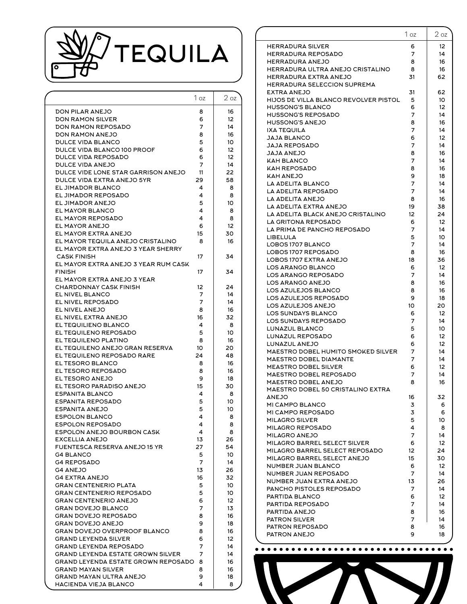

|                                          | 1 oz | 2 <sub>oz</sub> |
|------------------------------------------|------|-----------------|
| DON PILAR ANEJO                          | 8    | 16              |
| DON RAMON SILVER                         | 6    | 12              |
| <b>DON RAMON REPOSADO</b>                | 7    | 14              |
| DON RAMON ANEJO                          | 8    | 16              |
| DULCE VIDA BLANCO                        | 5    | 10              |
| DULCE VIDA BLANCO 100 PROOF              | 6    | 12              |
| <b>DULCE VIDA REPOSADO</b>               | 6    | 12              |
| DULCE VIDA ANEJO                         | 7    | 14              |
| DULCE VIDE LONE STAR GARRISON ANEJO      | 11   | 22              |
| DULCE VIDA EXTRA ANEJO 5YR               | 29   | 58              |
| EL JIMADOR BLANCO                        | 4    | 8               |
| EL JIMADOR REPOSADO                      | 4    | 8               |
| EL JIMADOR ANEJO                         | 5    | 10              |
| EL MAYOR BLANCO                          | 4    | 8               |
| EL MAYOR REPOSADO                        | 4    | 8               |
| EL MAYOR ANEJO                           | 6    | 12              |
| EL MAYOR EXTRA ANEJO                     | 15   | 30              |
| EL MAYOR TEQUILA ANEJO CRISTALINO        | 8    | 16              |
| EL MAYOR EXTRA ANEJO 3 YEAR SHERRY       |      |                 |
| <b>CASK FINISH</b>                       | 17   | 34              |
| EL MAYOR EXTRA ANEJO 3 YEAR RUM CASK     |      |                 |
| <b>FINISH</b>                            | 17   | 34              |
| EL MAYOR EXTRA ANEJO 3 YEAR              |      |                 |
| <b>CHARDONNAY CASK FINISH</b>            | 12   | 24              |
| EL NIVEL BLANCO                          | 7    | 14              |
| EL NIVEL REPOSADO                        | 7    | 14              |
| EL NIVEL ANEJO                           | 8    | 16              |
| EL NIVEL EXTRA ANEJO                     | 16   | 32              |
| EL TEQUILIENO BLANCO                     | 4    | 8               |
| EL TEQUILENO REPOSADO                    | 5    | 10              |
| EL TEQUILENO PLATINO                     | 8    | 16              |
| EL TEQUILENO ANEJO GRAN RESERVA          | 10   | 20              |
| EL TEQUILENO REPOSADO RARE               | 24   | 48              |
| EL TESORO BLANCO                         | 8    | 16              |
| EL TESORO REPOSADO                       | 8    | 16              |
| EL TESORO ANEJO                          | 9    | 18              |
| EL TESORO PARADISO ANEJO                 | 15   | 30              |
| ESPANITA BLANCO                          | 4    | 8               |
| <b>ESPANITA REPOSADO</b>                 | 5    | 10              |
| <b>ESPANITA ANEJO</b>                    | 5    | 10              |
| <b>ESPOLON BLANCO</b>                    | 4    | 8               |
| <b>ESPOLON REPOSADO</b>                  | 4    | 8               |
| <b>ESPOLON ANEJO BOURBON CASK</b>        | 4    | 8               |
| <b>EXCELLIA ANEJO</b>                    | 13   | 26              |
| FUENTESCA RESERVA ANEJO 15 YR            | 27   | 54              |
| <b>G4 BLANCO</b>                         | 5    | 10              |
| <b>G4 REPOSADO</b>                       | 7    | 14              |
| <b>G4 ANEJO</b>                          | 13   | 26              |
| <b>G4 EXTRA ANEJO</b>                    | 16   | 32              |
| <b>GRAN CENTENERIO PLATA</b>             | 5    | 10              |
| <b>GRAN CENTENERIO REPOSADO</b>          | 5    | 10              |
| <b>GRAN CENTENERIO ANEJO</b>             | 6    | 12              |
| <b>GRAN DOVEJO BLANCO</b>                | 7    | 13              |
| <b>GRAN DOVEJO REPOSADO</b>              | 8    | 16              |
| <b>GRAN DOVEJO ANEJO</b>                 | 9    | 18              |
| GRAN DOVEJO OVERPROOF BLANCO             | 8    | 16              |
| <b>GRAND LEYENDA SILVER</b>              | 6    | 12              |
| <b>GRAND LEYENDA REPOSADO</b>            | 7    | 14              |
| <b>GRAND LEYENDA ESTATE GROWN SILVER</b> | 7    | 14              |
| GRAND LEYENDA ESTATE GROWN REPOSADO      | 8    | 16              |
| GRAND MAYAN SILVER                       | 8    | 16              |
| GRAND MAYAN ULTRA ANEJO                  | 9    | 18              |
| HACIENDA VIEJA BLANCO                    | 4    | 8               |
|                                          |      |                 |

| <b>HERRADURA SILVER</b><br>6<br>12<br>14<br>HERRADURA REPOSADO<br>7<br><b>HERRADURA ANEJO</b><br>8<br>16<br>HERRADURA ULTRA ANEJO CRISTALINO<br>16<br>8<br>HERRADURA EXTRA ANEJO<br>62<br>31<br>HERRADURA SELECCION SUPREMA<br><b>EXTRA ANEJO</b><br>31<br>62<br>HIJOS DE VILLA BLANCO REVOLVER PISTOL<br>10<br>5<br><b>HUSSONG'S BLANCO</b><br>6<br>12<br><b>HUSSONG'S REPOSADO</b><br>7<br>14<br><b>HUSSONG'S ANEJO</b><br>8<br>16<br><b>IXA TEQUILA</b><br>7<br>14<br>JAJA BLANCO<br>6<br>12<br><b>JAJA REPOSADO</b><br>7<br>14<br><b>JAJA ANEJO</b><br>8<br>16<br><b>KAH BLANCO</b><br>7<br>14<br>KAH REPOSADO<br>8<br>16<br>9<br>18<br>KAH ANEJO<br>LA ADELITA BLANCO<br>7<br>14<br>7<br>LA ADELITA REPOSADO<br>14<br>LA ADELITA ANEJO<br>8<br>16<br>LA ADELITA EXTRA ANEJO<br>19<br>38<br>LA ADELITA BLACK ANEJO CRISTALINO<br>12<br>24<br>LA GRITONA REPOSADO<br>6<br>12<br>LA PRIMA DE PANCHO REPOSADO<br>7<br>14<br>5<br>10<br>LIBELULA<br>LOBOS 1707 BLANCO<br>7<br>14<br>LOBOS 1707 REPOSADO<br>8<br>16<br>LOBOS 1707 EXTRA ANEJO<br>18<br>36<br><b>LOS ARANGO BLANCO</b><br>6<br>12<br>LOS ARANGO REPOSADO<br>7<br>14<br>LOS ARANGO ANEJO<br>8<br>16<br>LOS AZULEJOS BLANCO<br>8<br>16<br>LOS AZULEJOS REPOSADO<br>9<br>18<br>LOS AZULEJOS ANEJO<br>20<br>10<br>LOS SUNDAYS BLANCO<br>6<br>12<br>LOS SUNDAYS REPOSADO<br>7<br>14<br>LUNAZUL BLANCO<br>5<br>10<br>LUNAZUL REPOSADO<br>6<br>12<br>LUNAZUL ANEJO<br>12<br>6<br>MAESTRO DOBEL HUMITO SMOKED SILVER<br>14<br>7<br>MAESTRO DOBEL DIAMANTE<br>7<br>14<br><b>MEASTRO DOBEL SILVER</b><br>6<br>12<br>7<br>14<br>MAESTRO DOBEL REPOSADO<br>MAESTRO DOBEL ANEJO<br>8<br>16<br>MAESTRO DOBEL 50 CRISTALINO EXTRA<br><b>ANEJO</b><br>16<br>32<br>MI CAMPO BLANCO<br>3<br>6<br>MI CAMPO REPOSADO<br>3<br>6<br>5<br>MILAGRO SILVER<br>10<br>MILAGRO REPOSADO<br>4<br>8<br>MILAGRO ANEJO<br>7<br>14<br>MILAGRO BARREL SELECT SILVER<br>6<br>12<br>MILAGRO BARREL SELECT REPOSADO<br>24<br>12<br>MILAGRO BARREL SELECT ANEJO<br>15<br>30<br>NUMBER JUAN BLANCO<br>6<br>12<br>NUMBER JUAN REPOSADO<br>14<br>7<br>NUMBER JUAN EXTRA ANEJO<br>13<br>26<br>PANCHO PISTOLES REPOSADO<br>14<br>7<br>PARTIDA BLANCO<br>6<br>12<br>PARTIDA REPOSADO<br>7<br>14<br>PARTIDA ANEJO<br>16<br>8<br>14<br><b>PATRON SILVER</b><br>7<br>16<br><b>PATRON REPOSADO</b><br>8<br>PATRON ANEJO<br>9<br>18 | 1 <sub>oz</sub> | 2 <sub>oz</sub> |
|--------------------------------------------------------------------------------------------------------------------------------------------------------------------------------------------------------------------------------------------------------------------------------------------------------------------------------------------------------------------------------------------------------------------------------------------------------------------------------------------------------------------------------------------------------------------------------------------------------------------------------------------------------------------------------------------------------------------------------------------------------------------------------------------------------------------------------------------------------------------------------------------------------------------------------------------------------------------------------------------------------------------------------------------------------------------------------------------------------------------------------------------------------------------------------------------------------------------------------------------------------------------------------------------------------------------------------------------------------------------------------------------------------------------------------------------------------------------------------------------------------------------------------------------------------------------------------------------------------------------------------------------------------------------------------------------------------------------------------------------------------------------------------------------------------------------------------------------------------------------------------------------------------------------------------------------------------------------------------------------------------------------------------------------------------------------------------------------------------------------------------------------------------------------------------------------------------------------------------------------------------------------------------------------------------------------------------------------------|-----------------|-----------------|
|                                                                                                                                                                                                                                                                                                                                                                                                                                                                                                                                                                                                                                                                                                                                                                                                                                                                                                                                                                                                                                                                                                                                                                                                                                                                                                                                                                                                                                                                                                                                                                                                                                                                                                                                                                                                                                                                                                                                                                                                                                                                                                                                                                                                                                                                                                                                                  |                 |                 |
|                                                                                                                                                                                                                                                                                                                                                                                                                                                                                                                                                                                                                                                                                                                                                                                                                                                                                                                                                                                                                                                                                                                                                                                                                                                                                                                                                                                                                                                                                                                                                                                                                                                                                                                                                                                                                                                                                                                                                                                                                                                                                                                                                                                                                                                                                                                                                  |                 |                 |
|                                                                                                                                                                                                                                                                                                                                                                                                                                                                                                                                                                                                                                                                                                                                                                                                                                                                                                                                                                                                                                                                                                                                                                                                                                                                                                                                                                                                                                                                                                                                                                                                                                                                                                                                                                                                                                                                                                                                                                                                                                                                                                                                                                                                                                                                                                                                                  |                 |                 |
|                                                                                                                                                                                                                                                                                                                                                                                                                                                                                                                                                                                                                                                                                                                                                                                                                                                                                                                                                                                                                                                                                                                                                                                                                                                                                                                                                                                                                                                                                                                                                                                                                                                                                                                                                                                                                                                                                                                                                                                                                                                                                                                                                                                                                                                                                                                                                  |                 |                 |
|                                                                                                                                                                                                                                                                                                                                                                                                                                                                                                                                                                                                                                                                                                                                                                                                                                                                                                                                                                                                                                                                                                                                                                                                                                                                                                                                                                                                                                                                                                                                                                                                                                                                                                                                                                                                                                                                                                                                                                                                                                                                                                                                                                                                                                                                                                                                                  |                 |                 |
|                                                                                                                                                                                                                                                                                                                                                                                                                                                                                                                                                                                                                                                                                                                                                                                                                                                                                                                                                                                                                                                                                                                                                                                                                                                                                                                                                                                                                                                                                                                                                                                                                                                                                                                                                                                                                                                                                                                                                                                                                                                                                                                                                                                                                                                                                                                                                  |                 |                 |
|                                                                                                                                                                                                                                                                                                                                                                                                                                                                                                                                                                                                                                                                                                                                                                                                                                                                                                                                                                                                                                                                                                                                                                                                                                                                                                                                                                                                                                                                                                                                                                                                                                                                                                                                                                                                                                                                                                                                                                                                                                                                                                                                                                                                                                                                                                                                                  |                 |                 |
|                                                                                                                                                                                                                                                                                                                                                                                                                                                                                                                                                                                                                                                                                                                                                                                                                                                                                                                                                                                                                                                                                                                                                                                                                                                                                                                                                                                                                                                                                                                                                                                                                                                                                                                                                                                                                                                                                                                                                                                                                                                                                                                                                                                                                                                                                                                                                  |                 |                 |
|                                                                                                                                                                                                                                                                                                                                                                                                                                                                                                                                                                                                                                                                                                                                                                                                                                                                                                                                                                                                                                                                                                                                                                                                                                                                                                                                                                                                                                                                                                                                                                                                                                                                                                                                                                                                                                                                                                                                                                                                                                                                                                                                                                                                                                                                                                                                                  |                 |                 |
|                                                                                                                                                                                                                                                                                                                                                                                                                                                                                                                                                                                                                                                                                                                                                                                                                                                                                                                                                                                                                                                                                                                                                                                                                                                                                                                                                                                                                                                                                                                                                                                                                                                                                                                                                                                                                                                                                                                                                                                                                                                                                                                                                                                                                                                                                                                                                  |                 |                 |
|                                                                                                                                                                                                                                                                                                                                                                                                                                                                                                                                                                                                                                                                                                                                                                                                                                                                                                                                                                                                                                                                                                                                                                                                                                                                                                                                                                                                                                                                                                                                                                                                                                                                                                                                                                                                                                                                                                                                                                                                                                                                                                                                                                                                                                                                                                                                                  |                 |                 |
|                                                                                                                                                                                                                                                                                                                                                                                                                                                                                                                                                                                                                                                                                                                                                                                                                                                                                                                                                                                                                                                                                                                                                                                                                                                                                                                                                                                                                                                                                                                                                                                                                                                                                                                                                                                                                                                                                                                                                                                                                                                                                                                                                                                                                                                                                                                                                  |                 |                 |
|                                                                                                                                                                                                                                                                                                                                                                                                                                                                                                                                                                                                                                                                                                                                                                                                                                                                                                                                                                                                                                                                                                                                                                                                                                                                                                                                                                                                                                                                                                                                                                                                                                                                                                                                                                                                                                                                                                                                                                                                                                                                                                                                                                                                                                                                                                                                                  |                 |                 |
|                                                                                                                                                                                                                                                                                                                                                                                                                                                                                                                                                                                                                                                                                                                                                                                                                                                                                                                                                                                                                                                                                                                                                                                                                                                                                                                                                                                                                                                                                                                                                                                                                                                                                                                                                                                                                                                                                                                                                                                                                                                                                                                                                                                                                                                                                                                                                  |                 |                 |
|                                                                                                                                                                                                                                                                                                                                                                                                                                                                                                                                                                                                                                                                                                                                                                                                                                                                                                                                                                                                                                                                                                                                                                                                                                                                                                                                                                                                                                                                                                                                                                                                                                                                                                                                                                                                                                                                                                                                                                                                                                                                                                                                                                                                                                                                                                                                                  |                 |                 |
|                                                                                                                                                                                                                                                                                                                                                                                                                                                                                                                                                                                                                                                                                                                                                                                                                                                                                                                                                                                                                                                                                                                                                                                                                                                                                                                                                                                                                                                                                                                                                                                                                                                                                                                                                                                                                                                                                                                                                                                                                                                                                                                                                                                                                                                                                                                                                  |                 |                 |
|                                                                                                                                                                                                                                                                                                                                                                                                                                                                                                                                                                                                                                                                                                                                                                                                                                                                                                                                                                                                                                                                                                                                                                                                                                                                                                                                                                                                                                                                                                                                                                                                                                                                                                                                                                                                                                                                                                                                                                                                                                                                                                                                                                                                                                                                                                                                                  |                 |                 |
|                                                                                                                                                                                                                                                                                                                                                                                                                                                                                                                                                                                                                                                                                                                                                                                                                                                                                                                                                                                                                                                                                                                                                                                                                                                                                                                                                                                                                                                                                                                                                                                                                                                                                                                                                                                                                                                                                                                                                                                                                                                                                                                                                                                                                                                                                                                                                  |                 |                 |
|                                                                                                                                                                                                                                                                                                                                                                                                                                                                                                                                                                                                                                                                                                                                                                                                                                                                                                                                                                                                                                                                                                                                                                                                                                                                                                                                                                                                                                                                                                                                                                                                                                                                                                                                                                                                                                                                                                                                                                                                                                                                                                                                                                                                                                                                                                                                                  |                 |                 |
|                                                                                                                                                                                                                                                                                                                                                                                                                                                                                                                                                                                                                                                                                                                                                                                                                                                                                                                                                                                                                                                                                                                                                                                                                                                                                                                                                                                                                                                                                                                                                                                                                                                                                                                                                                                                                                                                                                                                                                                                                                                                                                                                                                                                                                                                                                                                                  |                 |                 |
|                                                                                                                                                                                                                                                                                                                                                                                                                                                                                                                                                                                                                                                                                                                                                                                                                                                                                                                                                                                                                                                                                                                                                                                                                                                                                                                                                                                                                                                                                                                                                                                                                                                                                                                                                                                                                                                                                                                                                                                                                                                                                                                                                                                                                                                                                                                                                  |                 |                 |
|                                                                                                                                                                                                                                                                                                                                                                                                                                                                                                                                                                                                                                                                                                                                                                                                                                                                                                                                                                                                                                                                                                                                                                                                                                                                                                                                                                                                                                                                                                                                                                                                                                                                                                                                                                                                                                                                                                                                                                                                                                                                                                                                                                                                                                                                                                                                                  |                 |                 |
|                                                                                                                                                                                                                                                                                                                                                                                                                                                                                                                                                                                                                                                                                                                                                                                                                                                                                                                                                                                                                                                                                                                                                                                                                                                                                                                                                                                                                                                                                                                                                                                                                                                                                                                                                                                                                                                                                                                                                                                                                                                                                                                                                                                                                                                                                                                                                  |                 |                 |
|                                                                                                                                                                                                                                                                                                                                                                                                                                                                                                                                                                                                                                                                                                                                                                                                                                                                                                                                                                                                                                                                                                                                                                                                                                                                                                                                                                                                                                                                                                                                                                                                                                                                                                                                                                                                                                                                                                                                                                                                                                                                                                                                                                                                                                                                                                                                                  |                 |                 |
|                                                                                                                                                                                                                                                                                                                                                                                                                                                                                                                                                                                                                                                                                                                                                                                                                                                                                                                                                                                                                                                                                                                                                                                                                                                                                                                                                                                                                                                                                                                                                                                                                                                                                                                                                                                                                                                                                                                                                                                                                                                                                                                                                                                                                                                                                                                                                  |                 |                 |
|                                                                                                                                                                                                                                                                                                                                                                                                                                                                                                                                                                                                                                                                                                                                                                                                                                                                                                                                                                                                                                                                                                                                                                                                                                                                                                                                                                                                                                                                                                                                                                                                                                                                                                                                                                                                                                                                                                                                                                                                                                                                                                                                                                                                                                                                                                                                                  |                 |                 |
|                                                                                                                                                                                                                                                                                                                                                                                                                                                                                                                                                                                                                                                                                                                                                                                                                                                                                                                                                                                                                                                                                                                                                                                                                                                                                                                                                                                                                                                                                                                                                                                                                                                                                                                                                                                                                                                                                                                                                                                                                                                                                                                                                                                                                                                                                                                                                  |                 |                 |
|                                                                                                                                                                                                                                                                                                                                                                                                                                                                                                                                                                                                                                                                                                                                                                                                                                                                                                                                                                                                                                                                                                                                                                                                                                                                                                                                                                                                                                                                                                                                                                                                                                                                                                                                                                                                                                                                                                                                                                                                                                                                                                                                                                                                                                                                                                                                                  |                 |                 |
|                                                                                                                                                                                                                                                                                                                                                                                                                                                                                                                                                                                                                                                                                                                                                                                                                                                                                                                                                                                                                                                                                                                                                                                                                                                                                                                                                                                                                                                                                                                                                                                                                                                                                                                                                                                                                                                                                                                                                                                                                                                                                                                                                                                                                                                                                                                                                  |                 |                 |
|                                                                                                                                                                                                                                                                                                                                                                                                                                                                                                                                                                                                                                                                                                                                                                                                                                                                                                                                                                                                                                                                                                                                                                                                                                                                                                                                                                                                                                                                                                                                                                                                                                                                                                                                                                                                                                                                                                                                                                                                                                                                                                                                                                                                                                                                                                                                                  |                 |                 |
|                                                                                                                                                                                                                                                                                                                                                                                                                                                                                                                                                                                                                                                                                                                                                                                                                                                                                                                                                                                                                                                                                                                                                                                                                                                                                                                                                                                                                                                                                                                                                                                                                                                                                                                                                                                                                                                                                                                                                                                                                                                                                                                                                                                                                                                                                                                                                  |                 |                 |
|                                                                                                                                                                                                                                                                                                                                                                                                                                                                                                                                                                                                                                                                                                                                                                                                                                                                                                                                                                                                                                                                                                                                                                                                                                                                                                                                                                                                                                                                                                                                                                                                                                                                                                                                                                                                                                                                                                                                                                                                                                                                                                                                                                                                                                                                                                                                                  |                 |                 |
|                                                                                                                                                                                                                                                                                                                                                                                                                                                                                                                                                                                                                                                                                                                                                                                                                                                                                                                                                                                                                                                                                                                                                                                                                                                                                                                                                                                                                                                                                                                                                                                                                                                                                                                                                                                                                                                                                                                                                                                                                                                                                                                                                                                                                                                                                                                                                  |                 |                 |
|                                                                                                                                                                                                                                                                                                                                                                                                                                                                                                                                                                                                                                                                                                                                                                                                                                                                                                                                                                                                                                                                                                                                                                                                                                                                                                                                                                                                                                                                                                                                                                                                                                                                                                                                                                                                                                                                                                                                                                                                                                                                                                                                                                                                                                                                                                                                                  |                 |                 |
|                                                                                                                                                                                                                                                                                                                                                                                                                                                                                                                                                                                                                                                                                                                                                                                                                                                                                                                                                                                                                                                                                                                                                                                                                                                                                                                                                                                                                                                                                                                                                                                                                                                                                                                                                                                                                                                                                                                                                                                                                                                                                                                                                                                                                                                                                                                                                  |                 |                 |
|                                                                                                                                                                                                                                                                                                                                                                                                                                                                                                                                                                                                                                                                                                                                                                                                                                                                                                                                                                                                                                                                                                                                                                                                                                                                                                                                                                                                                                                                                                                                                                                                                                                                                                                                                                                                                                                                                                                                                                                                                                                                                                                                                                                                                                                                                                                                                  |                 |                 |
|                                                                                                                                                                                                                                                                                                                                                                                                                                                                                                                                                                                                                                                                                                                                                                                                                                                                                                                                                                                                                                                                                                                                                                                                                                                                                                                                                                                                                                                                                                                                                                                                                                                                                                                                                                                                                                                                                                                                                                                                                                                                                                                                                                                                                                                                                                                                                  |                 |                 |
|                                                                                                                                                                                                                                                                                                                                                                                                                                                                                                                                                                                                                                                                                                                                                                                                                                                                                                                                                                                                                                                                                                                                                                                                                                                                                                                                                                                                                                                                                                                                                                                                                                                                                                                                                                                                                                                                                                                                                                                                                                                                                                                                                                                                                                                                                                                                                  |                 |                 |
|                                                                                                                                                                                                                                                                                                                                                                                                                                                                                                                                                                                                                                                                                                                                                                                                                                                                                                                                                                                                                                                                                                                                                                                                                                                                                                                                                                                                                                                                                                                                                                                                                                                                                                                                                                                                                                                                                                                                                                                                                                                                                                                                                                                                                                                                                                                                                  |                 |                 |
|                                                                                                                                                                                                                                                                                                                                                                                                                                                                                                                                                                                                                                                                                                                                                                                                                                                                                                                                                                                                                                                                                                                                                                                                                                                                                                                                                                                                                                                                                                                                                                                                                                                                                                                                                                                                                                                                                                                                                                                                                                                                                                                                                                                                                                                                                                                                                  |                 |                 |
|                                                                                                                                                                                                                                                                                                                                                                                                                                                                                                                                                                                                                                                                                                                                                                                                                                                                                                                                                                                                                                                                                                                                                                                                                                                                                                                                                                                                                                                                                                                                                                                                                                                                                                                                                                                                                                                                                                                                                                                                                                                                                                                                                                                                                                                                                                                                                  |                 |                 |
|                                                                                                                                                                                                                                                                                                                                                                                                                                                                                                                                                                                                                                                                                                                                                                                                                                                                                                                                                                                                                                                                                                                                                                                                                                                                                                                                                                                                                                                                                                                                                                                                                                                                                                                                                                                                                                                                                                                                                                                                                                                                                                                                                                                                                                                                                                                                                  |                 |                 |
|                                                                                                                                                                                                                                                                                                                                                                                                                                                                                                                                                                                                                                                                                                                                                                                                                                                                                                                                                                                                                                                                                                                                                                                                                                                                                                                                                                                                                                                                                                                                                                                                                                                                                                                                                                                                                                                                                                                                                                                                                                                                                                                                                                                                                                                                                                                                                  |                 |                 |
|                                                                                                                                                                                                                                                                                                                                                                                                                                                                                                                                                                                                                                                                                                                                                                                                                                                                                                                                                                                                                                                                                                                                                                                                                                                                                                                                                                                                                                                                                                                                                                                                                                                                                                                                                                                                                                                                                                                                                                                                                                                                                                                                                                                                                                                                                                                                                  |                 |                 |
|                                                                                                                                                                                                                                                                                                                                                                                                                                                                                                                                                                                                                                                                                                                                                                                                                                                                                                                                                                                                                                                                                                                                                                                                                                                                                                                                                                                                                                                                                                                                                                                                                                                                                                                                                                                                                                                                                                                                                                                                                                                                                                                                                                                                                                                                                                                                                  |                 |                 |
|                                                                                                                                                                                                                                                                                                                                                                                                                                                                                                                                                                                                                                                                                                                                                                                                                                                                                                                                                                                                                                                                                                                                                                                                                                                                                                                                                                                                                                                                                                                                                                                                                                                                                                                                                                                                                                                                                                                                                                                                                                                                                                                                                                                                                                                                                                                                                  |                 |                 |
|                                                                                                                                                                                                                                                                                                                                                                                                                                                                                                                                                                                                                                                                                                                                                                                                                                                                                                                                                                                                                                                                                                                                                                                                                                                                                                                                                                                                                                                                                                                                                                                                                                                                                                                                                                                                                                                                                                                                                                                                                                                                                                                                                                                                                                                                                                                                                  |                 |                 |
|                                                                                                                                                                                                                                                                                                                                                                                                                                                                                                                                                                                                                                                                                                                                                                                                                                                                                                                                                                                                                                                                                                                                                                                                                                                                                                                                                                                                                                                                                                                                                                                                                                                                                                                                                                                                                                                                                                                                                                                                                                                                                                                                                                                                                                                                                                                                                  |                 |                 |
|                                                                                                                                                                                                                                                                                                                                                                                                                                                                                                                                                                                                                                                                                                                                                                                                                                                                                                                                                                                                                                                                                                                                                                                                                                                                                                                                                                                                                                                                                                                                                                                                                                                                                                                                                                                                                                                                                                                                                                                                                                                                                                                                                                                                                                                                                                                                                  |                 |                 |
|                                                                                                                                                                                                                                                                                                                                                                                                                                                                                                                                                                                                                                                                                                                                                                                                                                                                                                                                                                                                                                                                                                                                                                                                                                                                                                                                                                                                                                                                                                                                                                                                                                                                                                                                                                                                                                                                                                                                                                                                                                                                                                                                                                                                                                                                                                                                                  |                 |                 |
|                                                                                                                                                                                                                                                                                                                                                                                                                                                                                                                                                                                                                                                                                                                                                                                                                                                                                                                                                                                                                                                                                                                                                                                                                                                                                                                                                                                                                                                                                                                                                                                                                                                                                                                                                                                                                                                                                                                                                                                                                                                                                                                                                                                                                                                                                                                                                  |                 |                 |
|                                                                                                                                                                                                                                                                                                                                                                                                                                                                                                                                                                                                                                                                                                                                                                                                                                                                                                                                                                                                                                                                                                                                                                                                                                                                                                                                                                                                                                                                                                                                                                                                                                                                                                                                                                                                                                                                                                                                                                                                                                                                                                                                                                                                                                                                                                                                                  |                 |                 |
|                                                                                                                                                                                                                                                                                                                                                                                                                                                                                                                                                                                                                                                                                                                                                                                                                                                                                                                                                                                                                                                                                                                                                                                                                                                                                                                                                                                                                                                                                                                                                                                                                                                                                                                                                                                                                                                                                                                                                                                                                                                                                                                                                                                                                                                                                                                                                  |                 |                 |
|                                                                                                                                                                                                                                                                                                                                                                                                                                                                                                                                                                                                                                                                                                                                                                                                                                                                                                                                                                                                                                                                                                                                                                                                                                                                                                                                                                                                                                                                                                                                                                                                                                                                                                                                                                                                                                                                                                                                                                                                                                                                                                                                                                                                                                                                                                                                                  |                 |                 |
|                                                                                                                                                                                                                                                                                                                                                                                                                                                                                                                                                                                                                                                                                                                                                                                                                                                                                                                                                                                                                                                                                                                                                                                                                                                                                                                                                                                                                                                                                                                                                                                                                                                                                                                                                                                                                                                                                                                                                                                                                                                                                                                                                                                                                                                                                                                                                  |                 |                 |
|                                                                                                                                                                                                                                                                                                                                                                                                                                                                                                                                                                                                                                                                                                                                                                                                                                                                                                                                                                                                                                                                                                                                                                                                                                                                                                                                                                                                                                                                                                                                                                                                                                                                                                                                                                                                                                                                                                                                                                                                                                                                                                                                                                                                                                                                                                                                                  |                 |                 |
|                                                                                                                                                                                                                                                                                                                                                                                                                                                                                                                                                                                                                                                                                                                                                                                                                                                                                                                                                                                                                                                                                                                                                                                                                                                                                                                                                                                                                                                                                                                                                                                                                                                                                                                                                                                                                                                                                                                                                                                                                                                                                                                                                                                                                                                                                                                                                  |                 |                 |
|                                                                                                                                                                                                                                                                                                                                                                                                                                                                                                                                                                                                                                                                                                                                                                                                                                                                                                                                                                                                                                                                                                                                                                                                                                                                                                                                                                                                                                                                                                                                                                                                                                                                                                                                                                                                                                                                                                                                                                                                                                                                                                                                                                                                                                                                                                                                                  |                 |                 |
|                                                                                                                                                                                                                                                                                                                                                                                                                                                                                                                                                                                                                                                                                                                                                                                                                                                                                                                                                                                                                                                                                                                                                                                                                                                                                                                                                                                                                                                                                                                                                                                                                                                                                                                                                                                                                                                                                                                                                                                                                                                                                                                                                                                                                                                                                                                                                  |                 |                 |
|                                                                                                                                                                                                                                                                                                                                                                                                                                                                                                                                                                                                                                                                                                                                                                                                                                                                                                                                                                                                                                                                                                                                                                                                                                                                                                                                                                                                                                                                                                                                                                                                                                                                                                                                                                                                                                                                                                                                                                                                                                                                                                                                                                                                                                                                                                                                                  |                 |                 |
|                                                                                                                                                                                                                                                                                                                                                                                                                                                                                                                                                                                                                                                                                                                                                                                                                                                                                                                                                                                                                                                                                                                                                                                                                                                                                                                                                                                                                                                                                                                                                                                                                                                                                                                                                                                                                                                                                                                                                                                                                                                                                                                                                                                                                                                                                                                                                  |                 |                 |
|                                                                                                                                                                                                                                                                                                                                                                                                                                                                                                                                                                                                                                                                                                                                                                                                                                                                                                                                                                                                                                                                                                                                                                                                                                                                                                                                                                                                                                                                                                                                                                                                                                                                                                                                                                                                                                                                                                                                                                                                                                                                                                                                                                                                                                                                                                                                                  |                 |                 |

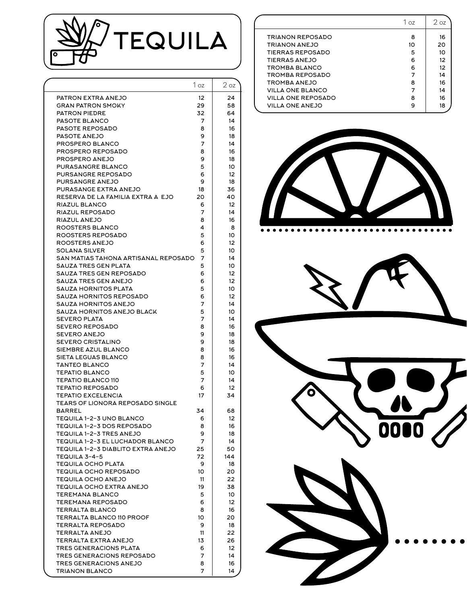

|                                                                      | 1 oz    | 2 oz              |
|----------------------------------------------------------------------|---------|-------------------|
| PATRON EXTRA ANEJO                                                   | 12      | 24                |
| <b>GRAN PATRON SMOKY</b>                                             | 29      | 58                |
| <b>PATRON PIEDRE</b>                                                 | 32      | 64                |
| <b>PASOTE BLANCO</b>                                                 | 7       | 14                |
| <b>PASOTE REPOSADO</b>                                               | 8       | 16                |
| PASOTE ANEJO                                                         | 9       | 18                |
| PROSPERO BLANCO                                                      | 7       | 14                |
| PROSPERO REPOSADO<br>PROSPERO ANEJO                                  | 8<br>9  | 16<br>18          |
| PURASANGRE BLANCO                                                    | 5       | 10                |
| <b>PURSANGRE REPOSADO</b>                                            | 6       | 12                |
| <b>PURSANGRE ANEJO</b>                                               | 9       | 18                |
| PURASANGE EXTRA ANEJO                                                | 18      | 36                |
| RESERVA DE LA FAMILIA EXTRA AÑEJO                                    | 20      | 40                |
| RIAZUL BLANCO                                                        | 6       | 12                |
| RIAZUL REPOSADO                                                      | 7       | 14                |
| RIAZUL ANEJO                                                         | 8       | 16                |
| <b>ROOSTERS BLANCO</b>                                               | 4       | 8                 |
| ROOSTERS REPOSADO                                                    | 5       | 10                |
| ROOSTERS ANEJO                                                       | 6       | 12                |
| SOLANA SILVER                                                        | 5       | 10                |
| SAN MATIAS TAHONA ARTISANAL REPOSADO                                 | 7       | 14                |
| SAUZA TRES GEN PLATA                                                 | 5       | 10                |
| <b>SAUZA TRES GEN REPOSADO</b><br><b>SAUZA TRES GEN ANEJO</b>        | 6       | 12                |
| <b>SAUZA HORNITOS PLATA</b>                                          | 6<br>5  | 12<br>10          |
| SAUZA HORNITOS REPOSADO                                              | 6       | 12                |
| SAUZA HORNITOS ANEJO                                                 | 7       | 14                |
| SAUZA HORNITOS ANEJO BLACK                                           | 5       | 10                |
| <b>SEVERO PLATA</b>                                                  | 7       | 14                |
| <b>SEVERO REPOSADO</b>                                               | 8       | 16                |
| <b>SEVERO ANEJO</b>                                                  | 9       | 18                |
| <b>SEVERO CRISTALINO</b>                                             | 9       | 18                |
| SIEMBRE AZUL BLANCO                                                  | 8       | 16                |
| <b>SIETA LEGUAS BLANCO</b>                                           | 8       | 16                |
| <b>TANTEO BLANCO</b>                                                 | 7       | 14                |
| <b>TEPATIO BLANCO</b>                                                | 5       | 10                |
| <b>TEPATIO BLANCO 110</b>                                            | 7       | 14                |
| <b>TEPATIO REPOSADO</b>                                              | 6       | $12 \overline{ }$ |
| <b>TEPATIO EXCELENCIA</b><br><b>TEARS OF LIONORA REPOSADO SINGLE</b> | 17      | 34                |
| <b>BARREL</b>                                                        | 34      | 68                |
| TEQUILA 1-2-3 UNO BLANCO                                             | 6       | 12                |
| TEQUILA 1-2-3 DOS REPOSADO                                           | 8       | 16                |
| TEQUILA 1-2-3 TRES ANEJO                                             | 9       | 18                |
| TEQUILA 1-2-3 EL LUCHADOR BLANCO                                     | 7       | 14                |
| TEQUILA 1-2-3 DIABLITO EXTRA ANEJO                                   | 25      | 50                |
| TEQUILA 3-4-5                                                        | 72      | 144               |
| <b>TEQUILA OCHO PLATA</b>                                            | 9       | 18                |
| <b>TEQUILA OCHO REPOSADO</b>                                         | 10      | 20                |
| <b>TEQUILA OCHO ANEJO</b>                                            | 11      | 22                |
| <b>TEQUILA OCHO EXTRA ANEJO</b>                                      | 19      | 38                |
| <b>TEREMANA BLANCO</b>                                               | 5       | 10                |
| <b>TEREMANA REPOSADO</b>                                             | 6       | 12                |
| TERRALTA BLANCO<br>TERRALTA BLANCO 110 PROOF                         | 8<br>10 | 16<br>20          |
| <b>TERRALTA REPOSADO</b>                                             | 9       | 18                |
| TERRALTA ANEJO                                                       | 11      | 22                |
| TERRALTA EXTRA ANEJO                                                 | 13      | 26                |
| <b>TRES GENERACIONS PLATA</b>                                        | 6       | 12                |
| TRES GENERACIONS REPOSADO                                            | 7       | 14                |
| TRES GENERACIONS ANEJO                                               | 8       | 16                |
| <b>TRIANON BLANCO</b>                                                | 7       | 14                |
|                                                                      |         |                   |

|                           | 1 oz | $2$ oz          |
|---------------------------|------|-----------------|
| <b>TRIANON REPOSADO</b>   | 8    | 16              |
| <b>TRIANON ANEJO</b>      | 10   | 20              |
| <b>TIERRAS REPOSADO</b>   | 5    | 10              |
| <b>TIERRAS ANEJO</b>      | 6    | 12              |
| TROMBA BLANCO             | 6    | 12 <sup>2</sup> |
| TROMBA REPOSADO           |      | 14              |
| TROMBA ANEJO              | 8    | 16              |
| <b>VILLA ONE BLANCO</b>   |      | 14              |
| <b>VILLA ONE REPOSADO</b> | 8    | 16              |
| <b>VILLA ONE ANEJO</b>    | 9    | 18              |
|                           |      |                 |